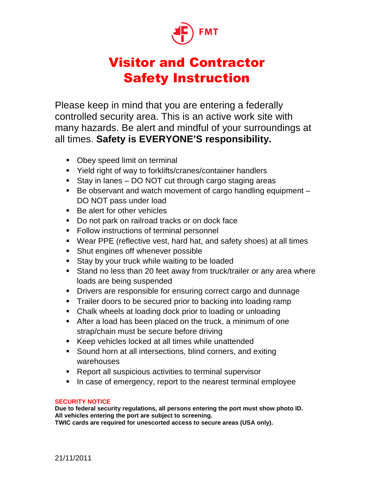

## Visitor and Contractor Safety Instruction

Please keep in mind that you are entering a federally controlled security area. This is an active work site with many hazards. Be alert and mindful of your surroundings at all times. **Safety is EVERYONE'S responsibility.** 

- Obey speed limit on terminal
- Yield right of way to forklifts/cranes/container handlers
- Stay in lanes DO NOT cut through cargo staging areas
- $\blacksquare$  Be observant and watch movement of cargo handling equipment  $\blacksquare$ DO NOT pass under load
- Be alert for other vehicles
- Do not park on railroad tracks or on dock face
- **Follow instructions of terminal personnel**
- Wear PPE (reflective vest, hard hat, and safety shoes) at all times
- **Shut engines off whenever possible**
- **Stay by your truck while waiting to be loaded**
- **Stand no less than 20 feet away from truck/trailer or any area where** loads are being suspended
- **•** Drivers are responsible for ensuring correct cargo and dunnage
- **Trailer doors to be secured prior to backing into loading ramp**
- Chalk wheels at loading dock prior to loading or unloading
- After a load has been placed on the truck, a minimum of one strap/chain must be secure before driving
- Keep vehicles locked at all times while unattended
- Sound horn at all intersections, blind corners, and exiting warehouses
- **Report all suspicious activities to terminal supervisor**
- In case of emergency, report to the nearest terminal employee

## **SECURITY NOTICE**

**Due to federal security regulations, all persons entering the port must show photo ID. All vehicles entering the port are subject to screening. TWIC cards are required for unescorted access to secure areas (USA only).** 

21/11/2011